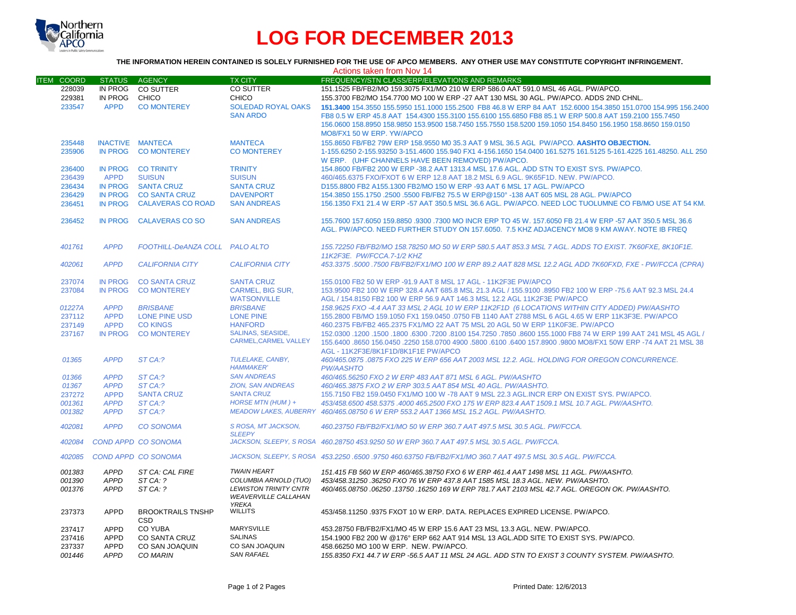

# **LOG FOR DECEMBER 2013**

## **THE INFORMATION HEREIN CONTAINED IS SOLELY FURNISHED FOR THE USE OF APCO MEMBERS. ANY OTHER USE MAY CONSTITUTE COPYRIGHT INFRINGEMENT.**

|                                      | Actions taken from Nov 14                                |                                                               |                                                                                      |                                                                                                                                                                                                                                                                                                           |  |  |  |
|--------------------------------------|----------------------------------------------------------|---------------------------------------------------------------|--------------------------------------------------------------------------------------|-----------------------------------------------------------------------------------------------------------------------------------------------------------------------------------------------------------------------------------------------------------------------------------------------------------|--|--|--|
| <b>ITEM COORD</b>                    | STATUS AGENCY                                            |                                                               | <b>TX CITY</b>                                                                       | FREQUENCY/STN CLASS/ERP/ELEVATIONS AND REMARKS                                                                                                                                                                                                                                                            |  |  |  |
| 228039<br>229381                     | IN PROG<br>IN PROG                                       | CO SUTTER<br>CHICO                                            | CO SUTTER<br><b>CHICO</b>                                                            | 151.1525 FB/FB2/MO 159.3075 FX1/MO 210 W ERP 586.0 AAT 591.0 MSL 46 AGL. PW/APCO.<br>155.3700 FB2/MO 154.7700 MO 100 W ERP -27 AAT 130 MSL 30 AGL. PW/APCO. ADDS 2ND CHNL.                                                                                                                                |  |  |  |
| 233547                               | <b>APPD</b>                                              | <b>CO MONTEREY</b>                                            | <b>SOLEDAD ROYAL OAKS</b>                                                            | 151.3400 154.3550 155.5950 151.1000 155.2500 FB8 46.8 W ERP 84 AAT 152.6000 154.3850 151.0700 154.995 156.2400                                                                                                                                                                                            |  |  |  |
|                                      |                                                          |                                                               | <b>SAN ARDO</b>                                                                      | FB8 0.5 W ERP 45.8 AAT 154.4300 155.3100 155.6100 155.6850 FB8 85.1 W ERP 500.8 AAT 159.2100 155.7450                                                                                                                                                                                                     |  |  |  |
|                                      |                                                          |                                                               |                                                                                      | 156.0600 158.8950 158.9850 153.9500 158.7450 155.7550 158.5200 159.1050 154.8450 156.1950 158.8650 159.0150<br>MO8/FX1 50 W ERP. YW/APCO                                                                                                                                                                  |  |  |  |
| 235448                               | <b>INACTIVE MANTECA</b>                                  |                                                               | <b>MANTECA</b>                                                                       | 155.8650 FB/FB2 79W ERP 158.9550 M0 35.3 AAT 9 MSL 36.5 AGL PW/APCO. AASHTO OBJECTION.                                                                                                                                                                                                                    |  |  |  |
| 235906                               | <b>IN PROG</b>                                           | <b>CO MONTEREY</b>                                            | <b>CO MONTEREY</b>                                                                   | 1-155.6250 2-155.93250 3-151.4600 155.940 FX1 4-156.1650 154.0400 161.5275 161.5125 5-161.4225 161.48250, ALL 250<br>W ERP. (UHF CHANNELS HAVE BEEN REMOVED) PW/APCO.                                                                                                                                     |  |  |  |
| 236400                               |                                                          | IN PROG CO TRINITY                                            | <b>TRINITY</b>                                                                       | 154.8600 FB/FB2 200 W ERP -38.2 AAT 1313.4 MSL 17.6 AGL. ADD STN TO EXIST SYS. PW/APCO.                                                                                                                                                                                                                   |  |  |  |
| 236439                               | <b>APPD</b>                                              | <b>SUISUN</b>                                                 | <b>SUISUN</b>                                                                        | 460/465.6375 FXO/FXOT 6 W ERP 12.8 AAT 18.2 MSL 6.9 AGL. 9K65F1D. NEW. PW/APCO.                                                                                                                                                                                                                           |  |  |  |
| 236434                               | <b>IN PROG</b>                                           | <b>SANTA CRUZ</b>                                             | <b>SANTA CRUZ</b>                                                                    | D155,8800 FB2 A155,1300 FB2/MO 150 W ERP -93 AAT 6 MSL 17 AGL, PW/APCO                                                                                                                                                                                                                                    |  |  |  |
| 236429                               | <b>IN PROG</b>                                           | <b>CO SANTA CRUZ</b>                                          | <b>DAVENPORT</b>                                                                     | 154.3850 155.1750 .2500 .5500 FB/FB2 75.5 W ERP@150° -138 AAT 605 MSL 28 AGL, PW/APCO                                                                                                                                                                                                                     |  |  |  |
| 236451                               | <b>IN PROG</b>                                           | <b>CALAVERAS CO ROAD</b>                                      | <b>SAN ANDREAS</b>                                                                   | 156.1350 FX1 21.4 W ERP -57 AAT 350.5 MSL 36.6 AGL. PW/APCO, NEED LOC TUOLUMNE CO FB/MO USE AT 54 KM.                                                                                                                                                                                                     |  |  |  |
| 236452                               | <b>IN PROG</b>                                           | <b>CALAVERAS CO SO</b>                                        | <b>SAN ANDREAS</b>                                                                   | 155.7600 157.6050 159.8850 .9300 .7300 MO INCR ERP TO 45 W, 157.6050 FB 21.4 W ERP -57 AAT 350.5 MSL 36.6<br>AGL. PW/APCO. NEED FURTHER STUDY ON 157.6050. 7.5 KHZ ADJACENCY MO8 9 KM AWAY. NOTE IB FREQ                                                                                                  |  |  |  |
| 401761                               | <b>APPD</b>                                              | FOOTHILL-DeANZA COLL PALO ALTO                                |                                                                                      | 155.72250 FB/FB2/MO 158.78250 MO 50 W ERP 580.5 AAT 853.3 MSL 7 AGL. ADDS TO EXIST. 7K60FXE. 8K10F1E.<br>11K2F3E. PW/FCCA.7-1/2 KHZ                                                                                                                                                                       |  |  |  |
| 402061                               | <b>APPD</b>                                              | <b>CALIFORNIA CITY</b>                                        | <b>CALIFORNIA CITY</b>                                                               | 453.3375 .5000 .7500 FB/FB2/FX1/MO 100 W ERP 89.2 AAT 828 MSL 12.2 AGL ADD 7K60FXD, FXE - PW/FCCA (CPRA)                                                                                                                                                                                                  |  |  |  |
| 237074                               | <b>IN PROG</b>                                           | <b>CO SANTA CRUZ</b>                                          | <b>SANTA CRUZ</b>                                                                    | 155,0100 FB2 50 W ERP -91.9 AAT 8 MSL 17 AGL - 11K2F3E PW/APCO                                                                                                                                                                                                                                            |  |  |  |
| 237084                               | <b>IN PROG</b>                                           | <b>CO MONTEREY</b>                                            | <b>CARMEL, BIG SUR,</b>                                                              | 153.9500 FB2 100 W ERP 328.4 AAT 685.8 MSL 21.3 AGL / 155.9100 .8950 FB2 100 W ERP -75.6 AAT 92.3 MSL 24.4                                                                                                                                                                                                |  |  |  |
|                                      |                                                          |                                                               | <b>WATSONVILLE</b>                                                                   | AGL / 154.8150 FB2 100 W ERP 56.9 AAT 146.3 MSL 12.2 AGL 11K2F3E PW/APCO                                                                                                                                                                                                                                  |  |  |  |
| 01227A                               | <b>APPD</b>                                              | <b>BRISBANE</b>                                               | <b>BRISBANE</b>                                                                      | 158.9625 FXO -4.4 AAT 33 MSL 2 AGL 10 W ERP 11K2F1D (6 LOCATIONS WITHIN CITY ADDED) PW/AASHTO                                                                                                                                                                                                             |  |  |  |
| 237112                               | <b>APPD</b>                                              | <b>LONE PINE USD</b>                                          | <b>LONE PINE</b>                                                                     | 155.2800 FB/MO 159.1050 FX1 159.0450 .0750 FB 1140 AAT 2788 MSL 6 AGL 4.65 W ERP 11K3F3E. PW/APCO                                                                                                                                                                                                         |  |  |  |
| 237149                               | <b>APPD</b>                                              | <b>CO KINGS</b>                                               | <b>HANFORD</b>                                                                       | 460.2375 FB/FB2 465.2375 FX1/MO 22 AAT 75 MSL 20 AGL 50 W ERP 11K0F3E. PW/APCO                                                                                                                                                                                                                            |  |  |  |
| 237167                               | <b>IN PROG</b>                                           | <b>CO MONTEREY</b>                                            | <b>SALINAS, SEASIDE,</b>                                                             | 150 45 45 45 45 45 45 46 47 152.0300 6300 7200 6300 7800 634.7250 17850 6800 155.1000 FB8 74 W ERP 199 AAT 241                                                                                                                                                                                            |  |  |  |
|                                      |                                                          |                                                               | <b>CARMEL, CARMEL VALLEY</b>                                                         | 155.6400 .8650 156.0450 .2250 158.0700 4900 .5800 .6100 .6400 157.8900 .9800 MO8/FX1 50W ERP -74 AAT 21 MSL 38<br>AGL - 11K2F3E/8K1F1D/8K1F1E PW/APCO                                                                                                                                                     |  |  |  |
| 01365                                | <b>APPD</b>                                              | ST CA:?                                                       | TULELAKE, CANBY,<br><b>HAMMAKER'</b>                                                 | 460/465.0875 .0875 FXO 225 W ERP 656 AAT 2003 MSL 12.2. AGL. HOLDING FOR OREGON CONCURRENCE.<br><b>PW/AASHTO</b>                                                                                                                                                                                          |  |  |  |
| 01366                                | <b>APPD</b>                                              | ST CA:?                                                       | <b>SAN ANDREAS</b>                                                                   | 460/465.56250 FXO 2 W ERP 483 AAT 871 MSL 6 AGL. PW/AASHTO                                                                                                                                                                                                                                                |  |  |  |
| 01367                                | <b>APPD</b>                                              | ST CA:?                                                       | <b>ZION, SAN ANDREAS</b>                                                             | 460/465.3875 FXO 2 W ERP 303.5 AAT 854 MSL 40 AGL, PW/AASHTO.                                                                                                                                                                                                                                             |  |  |  |
| 237272                               | <b>APPD</b>                                              | <b>SANTA CRUZ</b>                                             | <b>SANTA CRUZ</b>                                                                    | 155.7150 FB2 159.0450 FX1/MO 100 W -78 AAT 9 MSL 22.3 AGL.INCR ERP ON EXIST SYS. PW/APCO.                                                                                                                                                                                                                 |  |  |  |
| 001361                               | <b>APPD</b>                                              | ST CA:?                                                       | HORSE MTN (HUM) +                                                                    | 453/458.6500 458.5375 .4000 465.2500 FXO 175 W ERP 823.4 AAT 1509.1 MSL 10.7 AGL. PW/AASHTO.                                                                                                                                                                                                              |  |  |  |
| 001382                               | <b>APPD</b>                                              | ST CA:?                                                       |                                                                                      | MEADOW LAKES, AUBERRY 460/465.08750 6 W ERP 553.2 AAT 1366 MSL 15.2 AGL. PW/AASHTO.                                                                                                                                                                                                                       |  |  |  |
| 402081                               | <b>APPD</b>                                              | <b>CO SONOMA</b>                                              | S ROSA, MT JACKSON,<br><b>SLEEPY</b>                                                 | 460.23750 FB/FB2/FX1/MO 50 W ERP 360.7 AAT 497.5 MSL 30.5 AGL. PW/FCCA.                                                                                                                                                                                                                                   |  |  |  |
| 402084                               |                                                          | <b>COND APPD CO SONOMA</b>                                    |                                                                                      | JACKSON, SLEEPY, S ROSA 460.28750 453.9250 50 W ERP 360.7 AAT 497.5 MSL 30.5 AGL, PW/FCCA,                                                                                                                                                                                                                |  |  |  |
| 402085                               |                                                          | <b>COND APPD CO SONOMA</b>                                    |                                                                                      | JACKSON, SLEEPY, SROSA 453.2250.6500.9750 460.63750 FB/FB2/FX1/MO 360.7 AAT 497.5 MSL 30.5 AGL, PW/FCCA,                                                                                                                                                                                                  |  |  |  |
| 001383                               | <b>APPD</b>                                              | ST CA: CAL FIRE                                               | <b>TWAIN HEART</b>                                                                   | 151.415 FB 560 W ERP 460/465.38750 FXO 6 W ERP 461.4 AAT 1498 MSL 11 AGL. PW/AASHTO.                                                                                                                                                                                                                      |  |  |  |
| 001390<br>001376                     | <b>APPD</b><br><b>APPD</b>                               | ST CA: ?<br>ST CA: ?                                          | COLUMBIA ARNOLD (TUO)<br><b>LEWISTON TRINITY CNTR</b><br><b>WEAVERVILLE CALLAHAN</b> | 453/458.31250.36250 FXO 76 W ERP 437.8 AAT 1585 MSL 18.3 AGL. NEW. PW/AASHTO.<br>460/465.08750.06250.13750.16250 169 W ERP 781.7 AAT 2103 MSL 42.7 AGL. OREGON OK. PW/AASHTO.                                                                                                                             |  |  |  |
| 237373                               | <b>APPD</b>                                              | <b>BROOKTRAILS TNSHP</b><br>CSD                               | <b>YREKA</b><br><b>WILLITS</b>                                                       | 453/458.11250.9375 FXOT 10 W ERP. DATA. REPLACES EXPIRED LICENSE. PW/APCO.                                                                                                                                                                                                                                |  |  |  |
| 237417<br>237416<br>237337<br>001446 | <b>APPD</b><br><b>APPD</b><br><b>APPD</b><br><b>APPD</b> | <b>CO YUBA</b><br>CO SANTA CRUZ<br>CO SAN JOAQUIN<br>CO MARIN | MARYSVILLE<br><b>SALINAS</b><br>CO SAN JOAQUIN<br><b>SAN RAFAEL</b>                  | 453.28750 FB/FB2/FX1/MO 45 W ERP 15.6 AAT 23 MSL 13.3 AGL. NEW. PW/APCO.<br>154.1900 FB2 200 W @176° ERP 662 AAT 914 MSL 13 AGL.ADD SITE TO EXIST SYS. PW/APCO.<br>458.66250 MO 100 W ERP. NEW. PW/APCO.<br>155.8350 FX1 44.7 W ERP -56.5 AAT 11 MSL 24 AGL. ADD STN TO EXIST 3 COUNTY SYSTEM. PW/AASHTO. |  |  |  |